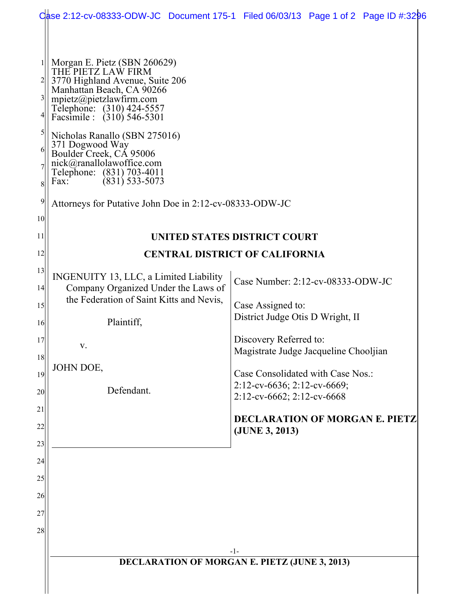|                                                            | Case 2:12-cv-08333-ODW-JC Document 175-1 Filed 06/03/13 Page 1 of 2 Page ID #:3296                                                                                                                                                                                                                                                                                                                                                       |  |                                                                                                                                                                                                                                                                    |  |  |
|------------------------------------------------------------|------------------------------------------------------------------------------------------------------------------------------------------------------------------------------------------------------------------------------------------------------------------------------------------------------------------------------------------------------------------------------------------------------------------------------------------|--|--------------------------------------------------------------------------------------------------------------------------------------------------------------------------------------------------------------------------------------------------------------------|--|--|
| $\frac{3}{2}$<br>$\mathfrak{h}$<br>6<br>8<br>9<br>10<br>11 | Morgan E. Pietz (SBN 260629)<br>THE PIETZ LAW FIRM<br>3770 Highland Avenue, Suite 206<br>Manhattan Beach, CA 90266<br>mpietz@pietzlawfirm.com<br>Telephone: (310) 424-5557<br>Facsimile : (310) 546-5301<br>Nicholas Ranallo (SBN 275016)<br>371 Dogwood Way<br>Boulder Creek, CA 95006<br>nick@ranallolawoffice.com<br>Telephone: (831) 703-4011<br>$(831)$ 533-5073<br>Fax:<br>Attorneys for Putative John Doe in 2:12-cv-08333-ODW-JC |  | UNITED STATES DISTRICT COURT                                                                                                                                                                                                                                       |  |  |
| 12                                                         | <b>CENTRAL DISTRICT OF CALIFORNIA</b>                                                                                                                                                                                                                                                                                                                                                                                                    |  |                                                                                                                                                                                                                                                                    |  |  |
| 13<br> 14 <br>15<br>16<br>17<br>18<br>19<br>20             | INGENUITY 13, LLC, a Limited Liability<br>Company Organized Under the Laws of<br>the Federation of Saint Kitts and Nevis,<br>Plaintiff,<br>V.<br>JOHN DOE,<br>Defendant.                                                                                                                                                                                                                                                                 |  | Case Number: 2:12-cv-08333-ODW-JC<br>Case Assigned to:<br>District Judge Otis D Wright, II<br>Discovery Referred to:<br>Magistrate Judge Jacqueline Chooljian<br>Case Consolidated with Case Nos.:<br>2:12-cv-6636; 2:12-cv-6669;<br>$2:12$ -cv-6662; 2:12-cv-6668 |  |  |
| 21<br>22<br>23<br>24<br>25                                 |                                                                                                                                                                                                                                                                                                                                                                                                                                          |  | <b>DECLARATION OF MORGAN E. PIETZ</b><br>(JUNE 3, 2013)                                                                                                                                                                                                            |  |  |
| 26<br>27<br>28                                             |                                                                                                                                                                                                                                                                                                                                                                                                                                          |  |                                                                                                                                                                                                                                                                    |  |  |
|                                                            | -1-<br><b>DECLARATION OF MORGAN E. PIETZ (JUNE 3, 2013)</b>                                                                                                                                                                                                                                                                                                                                                                              |  |                                                                                                                                                                                                                                                                    |  |  |